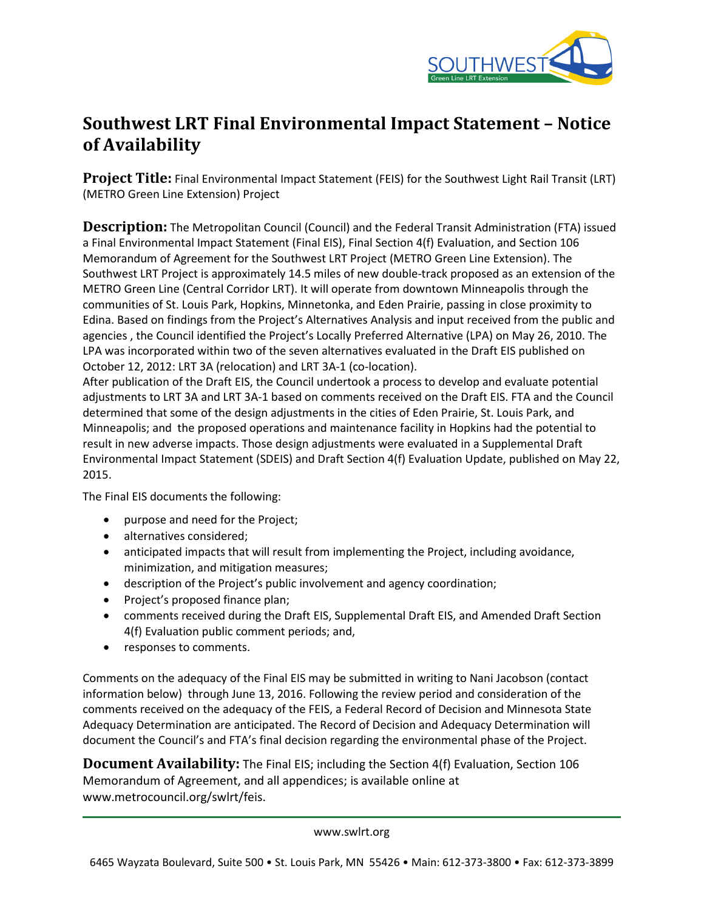

## **Southwest LRT Final Environmental Impact Statement – Notice of Availability**

**Project Title:** Final Environmental Impact Statement (FEIS) for the Southwest Light Rail Transit (LRT) (METRO Green Line Extension) Project

**Description:** The Metropolitan Council (Council) and the Federal Transit Administration (FTA) issued a Final Environmental Impact Statement (Final EIS), Final Section 4(f) Evaluation, and Section 106 Memorandum of Agreement for the Southwest LRT Project (METRO Green Line Extension). The Southwest LRT Project is approximately 14.5 miles of new double-track proposed as an extension of the METRO Green Line (Central Corridor LRT). It will operate from downtown Minneapolis through the communities of St. Louis Park, Hopkins, Minnetonka, and Eden Prairie, passing in close proximity to Edina. Based on findings from the Project's Alternatives Analysis and input received from the public and agencies , the Council identified the Project's Locally Preferred Alternative (LPA) on May 26, 2010. The LPA was incorporated within two of the seven alternatives evaluated in the Draft EIS published on October 12, 2012: LRT 3A (relocation) and LRT 3A-1 (co-location).

After publication of the Draft EIS, the Council undertook a process to develop and evaluate potential adjustments to LRT 3A and LRT 3A-1 based on comments received on the Draft EIS. FTA and the Council determined that some of the design adjustments in the cities of Eden Prairie, St. Louis Park, and Minneapolis; and the proposed operations and maintenance facility in Hopkins had the potential to result in new adverse impacts. Those design adjustments were evaluated in a Supplemental Draft Environmental Impact Statement (SDEIS) and Draft Section 4(f) Evaluation Update, published on May 22, 2015.

The Final EIS documents the following:

- purpose and need for the Project;
- alternatives considered;
- anticipated impacts that will result from implementing the Project, including avoidance, minimization, and mitigation measures;
- description of the Project's public involvement and agency coordination;
- Project's proposed finance plan;
- comments received during the Draft EIS, Supplemental Draft EIS, and Amended Draft Section 4(f) Evaluation public comment periods; and,
- responses to comments.

Comments on the adequacy of the Final EIS may be submitted in writing to Nani Jacobson (contact information below) through June 13, 2016. Following the review period and consideration of the comments received on the adequacy of the FEIS, a Federal Record of Decision and Minnesota State Adequacy Determination are anticipated. The Record of Decision and Adequacy Determination will document the Council's and FTA's final decision regarding the environmental phase of the Project.

**Document Availability:** The Final EIS; including the Section 4(f) Evaluation, Section 106 Memorandum of Agreement, and all appendices; is available online at www.metrocouncil.org/swlrt/feis.

www.swlrt.org